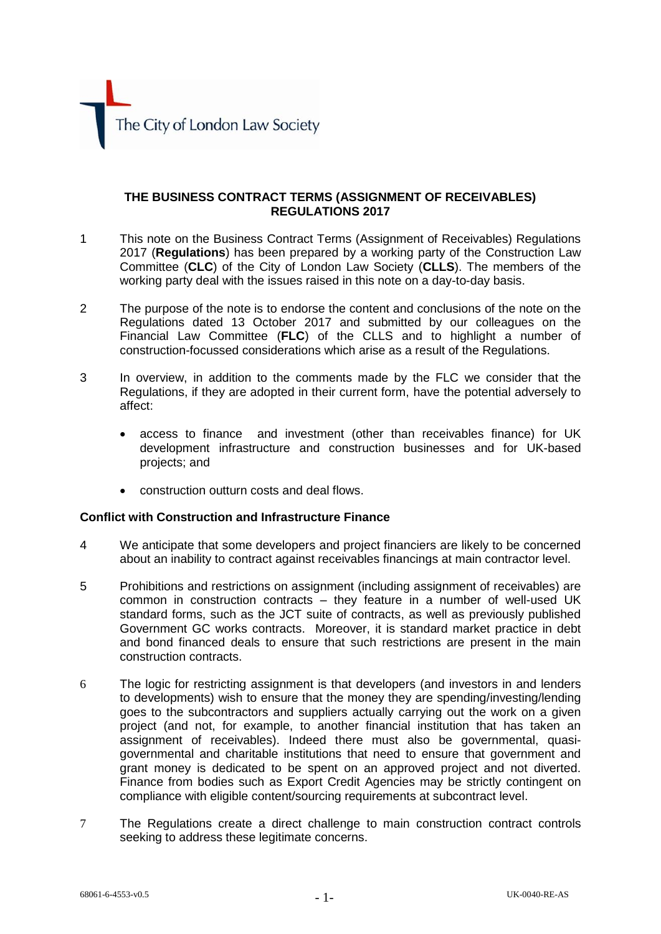

## **THE BUSINESS CONTRACT TERMS (ASSIGNMENT OF RECEIVABLES) REGULATIONS 2017**

- 1 This note on the Business Contract Terms (Assignment of Receivables) Regulations 2017 (**Regulations**) has been prepared by a working party of the Construction Law Committee (**CLC**) of the City of London Law Society (**CLLS**). The members of the working party deal with the issues raised in this note on a day-to-day basis.
- 2 The purpose of the note is to endorse the content and conclusions of the note on the Regulations dated 13 October 2017 and submitted by our colleagues on the Financial Law Committee (**FLC**) of the CLLS and to highlight a number of construction-focussed considerations which arise as a result of the Regulations.
- 3 In overview, in addition to the comments made by the FLC we consider that the Regulations, if they are adopted in their current form, have the potential adversely to affect:
	- access to finance and investment (other than receivables finance) for UK development infrastructure and construction businesses and for UK-based projects; and
	- construction outturn costs and deal flows.

## **Conflict with Construction and Infrastructure Finance**

- 4 We anticipate that some developers and project financiers are likely to be concerned about an inability to contract against receivables financings at main contractor level.
- 5 Prohibitions and restrictions on assignment (including assignment of receivables) are common in construction contracts – they feature in a number of well-used UK standard forms, such as the JCT suite of contracts, as well as previously published Government GC works contracts. Moreover, it is standard market practice in debt and bond financed deals to ensure that such restrictions are present in the main construction contracts.
- 6 The logic for restricting assignment is that developers (and investors in and lenders to developments) wish to ensure that the money they are spending/investing/lending goes to the subcontractors and suppliers actually carrying out the work on a given project (and not, for example, to another financial institution that has taken an assignment of receivables). Indeed there must also be governmental, quasigovernmental and charitable institutions that need to ensure that government and grant money is dedicated to be spent on an approved project and not diverted. Finance from bodies such as Export Credit Agencies may be strictly contingent on compliance with eligible content/sourcing requirements at subcontract level.
- 7 The Regulations create a direct challenge to main construction contract controls seeking to address these legitimate concerns.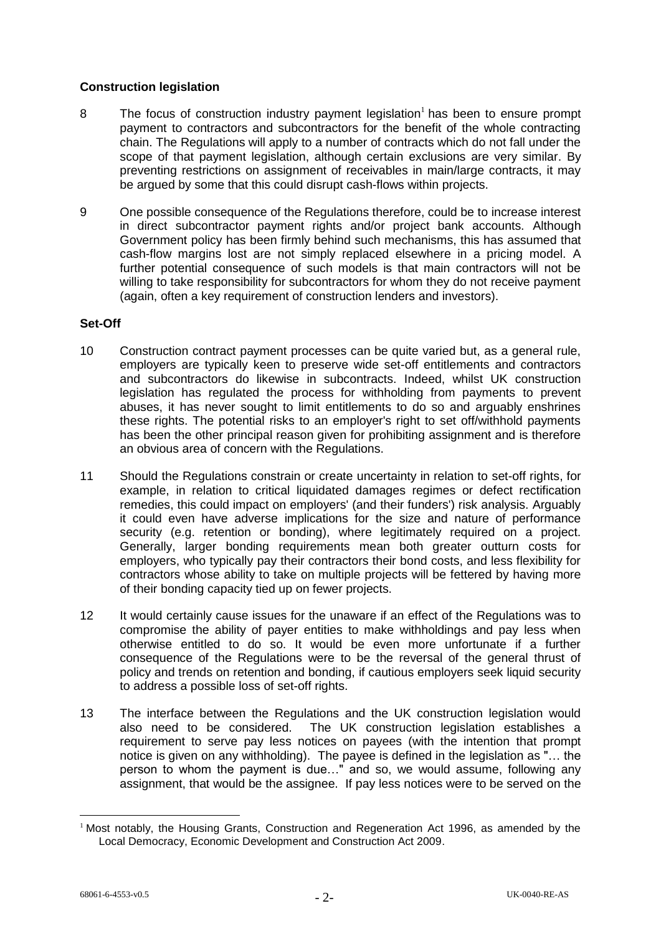# **Construction legislation**

- 8 The focus of construction industry payment legislation<sup>1</sup> has been to ensure prompt payment to contractors and subcontractors for the benefit of the whole contracting chain. The Regulations will apply to a number of contracts which do not fall under the scope of that payment legislation, although certain exclusions are very similar. By preventing restrictions on assignment of receivables in main/large contracts, it may be argued by some that this could disrupt cash-flows within projects.
- 9 One possible consequence of the Regulations therefore, could be to increase interest in direct subcontractor payment rights and/or project bank accounts. Although Government policy has been firmly behind such mechanisms, this has assumed that cash-flow margins lost are not simply replaced elsewhere in a pricing model. A further potential consequence of such models is that main contractors will not be willing to take responsibility for subcontractors for whom they do not receive payment (again, often a key requirement of construction lenders and investors).

## **Set-Off**

- 10 Construction contract payment processes can be quite varied but, as a general rule, employers are typically keen to preserve wide set-off entitlements and contractors and subcontractors do likewise in subcontracts. Indeed, whilst UK construction legislation has regulated the process for withholding from payments to prevent abuses, it has never sought to limit entitlements to do so and arguably enshrines these rights. The potential risks to an employer's right to set off/withhold payments has been the other principal reason given for prohibiting assignment and is therefore an obvious area of concern with the Regulations.
- 11 Should the Regulations constrain or create uncertainty in relation to set-off rights, for example, in relation to critical liquidated damages regimes or defect rectification remedies, this could impact on employers' (and their funders') risk analysis. Arguably it could even have adverse implications for the size and nature of performance security (e.g. retention or bonding), where legitimately required on a project. Generally, larger bonding requirements mean both greater outturn costs for employers, who typically pay their contractors their bond costs, and less flexibility for contractors whose ability to take on multiple projects will be fettered by having more of their bonding capacity tied up on fewer projects.
- 12 It would certainly cause issues for the unaware if an effect of the Regulations was to compromise the ability of payer entities to make withholdings and pay less when otherwise entitled to do so. It would be even more unfortunate if a further consequence of the Regulations were to be the reversal of the general thrust of policy and trends on retention and bonding, if cautious employers seek liquid security to address a possible loss of set-off rights.
- 13 The interface between the Regulations and the UK construction legislation would also need to be considered. The UK construction legislation establishes a requirement to serve pay less notices on payees (with the intention that prompt notice is given on any withholding). The payee is defined in the legislation as "… the person to whom the payment is due…" and so, we would assume, following any assignment, that would be the assignee. If pay less notices were to be served on the

1

<sup>&</sup>lt;sup>1</sup> Most notably, the Housing Grants, Construction and Regeneration Act 1996, as amended by the Local Democracy, Economic Development and Construction Act 2009.